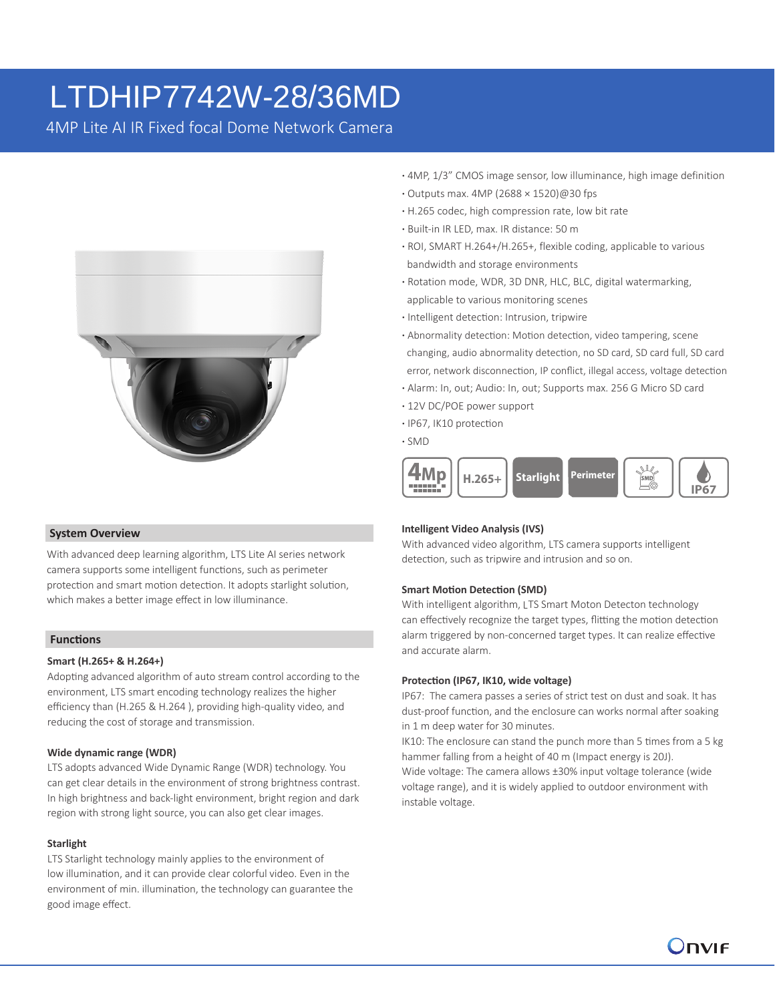# LTDHIP7742W-28/36MD

4MP Lite AI IR Fixed focal Dome Network Camera



#### **System Overview**

With advanced deep learning algorithm, LTS Lite AI series network camera supports some intelligent functions, such as perimeter protection and smart motion detection. It adopts starlight solution, which makes a better image effect in low illuminance.

#### **Functions**

#### **Smart (H.265+ & H.264+)**

Adopting advanced algorithm of auto stream control according to the environment, LTS smart encoding technology realizes the higher efficiency than (H.265 & H.264 ), providing high-quality video, and reducing the cost of storage and transmission.

### **Wide dynamic range (WDR)**

LTS adopts advanced Wide Dynamic Range (WDR) technology. You can get clear details in the environment of strong brightness contrast. In high brightness and back-light environment, bright region and dark region with strong light source, you can also get clear images.

#### **Starlight**

LTS Starlight technology mainly applies to the environment of low illumination, and it can provide clear colorful video. Even in the environment of min. illumination, the technology can guarantee the good image effect.

- **·** 4MP, 1/3" CMOS image sensor, low illuminance, high image definition
- **·** Outputs max. 4MP (2688 × 1520)@30 fps
- **·** H.265 codec, high compression rate, low bit rate
- **·** Built-in IR LED, max. IR distance: 50 m
- **·** ROI, SMART H.264+/H.265+, flexible coding, applicable to various bandwidth and storage environments
- **·** Rotation mode, WDR, 3D DNR, HLC, BLC, digital watermarking, applicable to various monitoring scenes
- **·** Intelligent detection: Intrusion, tripwire
- **·** Abnormality detection: Motion detection, video tampering, scene changing, audio abnormality detection, no SD card, SD card full, SD card error, network disconnection, IP conflict, illegal access, voltage detection
- **·** Alarm: In, out; Audio: In, out; Supports max. 256 G Micro SD card
- **·** 12V DC/POE power support
- **·** IP67, IK10 protection
- **·** SMD



#### **Intelligent Video Analysis (IVS)**

With advanced video algorithm, LTS camera supports intelligent detection, such as tripwire and intrusion and so on.

#### **Smart Motion Detection (SMD)**

With intelligent algorithm, LTS Smart Moton Detecton technology can effectively recognize the target types, flitting the motion detection alarm triggered by non-concerned target types. It can realize effective and accurate alarm.

#### **Protection (IP67, IK10, wide voltage)**

IP67: The camera passes a series of strict test on dust and soak. It has dust-proof function, and the enclosure can works normal after soaking in 1 m deep water for 30 minutes.

IK10: The enclosure can stand the punch more than 5 times from a 5 kg hammer falling from a height of 40 m (Impact energy is 20J).

Wide voltage: The camera allows ±30% input voltage tolerance (wide voltage range), and it is widely applied to outdoor environment with instable voltage.

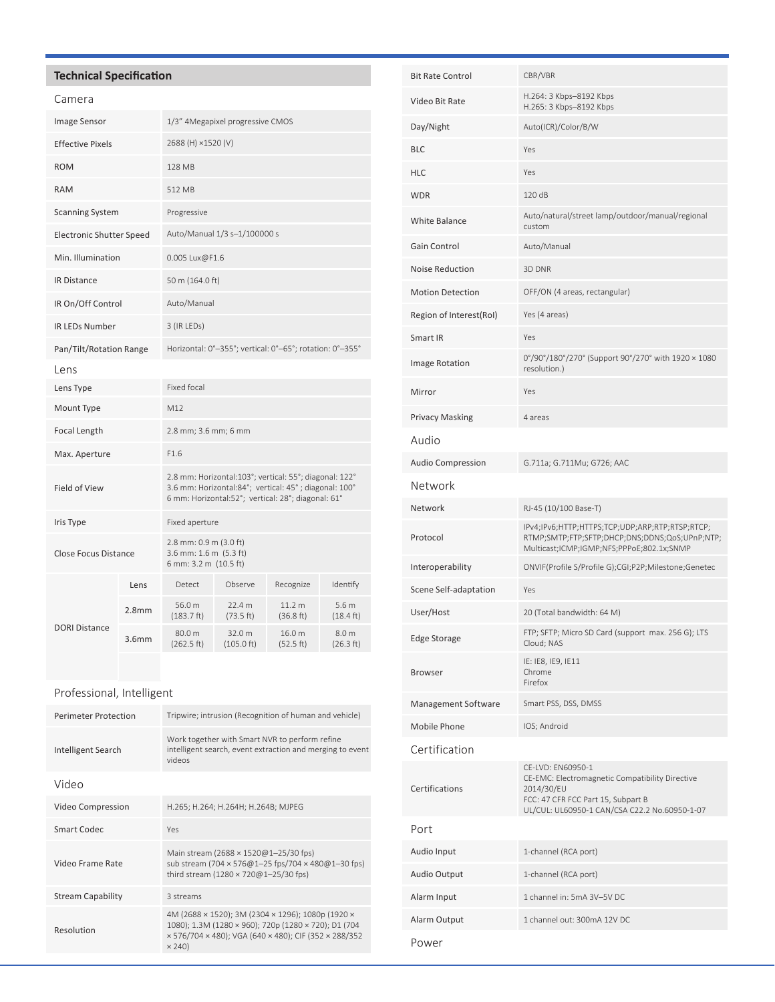# **Technical Specification**

| Camera                          |                   |                                                                                                                                                                       |                      |                                |                                         |
|---------------------------------|-------------------|-----------------------------------------------------------------------------------------------------------------------------------------------------------------------|----------------------|--------------------------------|-----------------------------------------|
| <b>Image Sensor</b>             |                   | 1/3" 4Megapixel progressive CMOS                                                                                                                                      |                      |                                |                                         |
| <b>Effective Pixels</b>         |                   | 2688 (H) ×1520 (V)                                                                                                                                                    |                      |                                |                                         |
| <b>ROM</b>                      |                   | 128 MB                                                                                                                                                                |                      |                                |                                         |
| <b>RAM</b>                      |                   | 512 MB                                                                                                                                                                |                      |                                |                                         |
| <b>Scanning System</b>          |                   | Progressive                                                                                                                                                           |                      |                                |                                         |
| <b>Electronic Shutter Speed</b> |                   | Auto/Manual 1/3 s-1/100000 s                                                                                                                                          |                      |                                |                                         |
| Min. Illumination               |                   | 0.005 Lux@F1.6                                                                                                                                                        |                      |                                |                                         |
| <b>IR Distance</b>              |                   | 50 m (164.0 ft)                                                                                                                                                       |                      |                                |                                         |
| IR On/Off Control               |                   | Auto/Manual                                                                                                                                                           |                      |                                |                                         |
| <b>IR LEDs Number</b>           |                   | 3 (IR LEDs)                                                                                                                                                           |                      |                                |                                         |
| Pan/Tilt/Rotation Range         |                   | Horizontal: 0°-355°; vertical: 0°-65°; rotation: 0°-355°                                                                                                              |                      |                                |                                         |
| Lens                            |                   |                                                                                                                                                                       |                      |                                |                                         |
| Lens Type                       |                   | <b>Fixed focal</b>                                                                                                                                                    |                      |                                |                                         |
| Mount Type                      |                   | M12                                                                                                                                                                   |                      |                                |                                         |
| Focal Length                    |                   | 2.8 mm; 3.6 mm; 6 mm                                                                                                                                                  |                      |                                |                                         |
| Max. Aperture                   |                   | F1.6                                                                                                                                                                  |                      |                                |                                         |
| Field of View                   |                   | 2.8 mm: Horizontal:103°; vertical: 55°; diagonal: 122°<br>3.6 mm: Horizontal:84°; vertical: 45°; diagonal: 100°<br>6 mm: Horizontal:52°; vertical: 28°; diagonal: 61° |                      |                                |                                         |
| Iris Type                       |                   | Fixed aperture                                                                                                                                                        |                      |                                |                                         |
| <b>Close Focus Distance</b>     |                   | 2.8 mm: 0.9 m (3.0 ft)<br>3.6 mm: 1.6 m (5.3 ft)<br>6 mm: 3.2 m (10.5 ft)                                                                                             |                      |                                |                                         |
|                                 | Lens              | Detect                                                                                                                                                                | Observe              | Recognize                      | Identify                                |
| <b>DORI Distance</b>            | 2.8 <sub>mm</sub> | 56.0 m<br>(183.7 ft)                                                                                                                                                  | 22.4 m<br>(73.5 ft)  | 11.2 <sub>m</sub><br>(36.8 ft) | 5.6 <sub>m</sub><br>$(18.4 \text{ ft})$ |
|                                 | 3.6 <sub>mm</sub> | 80.0 m<br>(262.5 ft)                                                                                                                                                  | 32.0 m<br>(105.0 ft) | 16.0 m<br>(52.5 ft)            | 8.0 m<br>(26.3 ft)                      |

## Professional, Intelligent

| <b>Perimeter Protection</b> | Tripwire; intrusion (Recognition of human and vehicle)                                                                                                                              |  |  |
|-----------------------------|-------------------------------------------------------------------------------------------------------------------------------------------------------------------------------------|--|--|
| Intelligent Search          | Work together with Smart NVR to perform refine<br>intelligent search, event extraction and merging to event<br><b>videos</b>                                                        |  |  |
| Video                       |                                                                                                                                                                                     |  |  |
| Video Compression           | H.265; H.264; H.264H; H.264B; MJPEG                                                                                                                                                 |  |  |
| Smart Codec                 | Yes                                                                                                                                                                                 |  |  |
| Video Frame Rate            | Main stream (2688 × 1520@1-25/30 fps)<br>sub stream (704 x 576@1-25 fps/704 x 480@1-30 fps)<br>third stream (1280 × 720@1-25/30 fps)                                                |  |  |
| <b>Stream Capability</b>    | 3 streams                                                                                                                                                                           |  |  |
| Resolution                  | 4M (2688 × 1520); 3M (2304 × 1296); 1080p (1920 ×<br>1080); 1.3M (1280 × 960); 720p (1280 × 720); D1 (704<br>x 576/704 x 480); VGA (640 x 480); CIF (352 x 288/352<br>$\times$ 240) |  |  |

| <b>Bit Rate Control</b>  | CBR/VBR                                                                                                                                                                   |  |  |
|--------------------------|---------------------------------------------------------------------------------------------------------------------------------------------------------------------------|--|--|
| Video Bit Rate           | H.264: 3 Kbps-8192 Kbps<br>H.265: 3 Kbps-8192 Kbps                                                                                                                        |  |  |
| Day/Night                | Auto(ICR)/Color/B/W                                                                                                                                                       |  |  |
| <b>BLC</b>               | Yes                                                                                                                                                                       |  |  |
| HLC                      | Yes                                                                                                                                                                       |  |  |
| <b>WDR</b>               | 120 dB                                                                                                                                                                    |  |  |
| White Balance            | Auto/natural/street lamp/outdoor/manual/regional<br>custom                                                                                                                |  |  |
| Gain Control             | Auto/Manual                                                                                                                                                               |  |  |
| <b>Noise Reduction</b>   | 3D DNR                                                                                                                                                                    |  |  |
| <b>Motion Detection</b>  | OFF/ON (4 areas, rectangular)                                                                                                                                             |  |  |
| Region of Interest(RoI)  | Yes (4 areas)                                                                                                                                                             |  |  |
| Smart IR                 | Yes                                                                                                                                                                       |  |  |
| Image Rotation           | 0°/90°/180°/270° (Support 90°/270° with 1920 × 1080<br>resolution.)                                                                                                       |  |  |
| Mirror                   | Yes                                                                                                                                                                       |  |  |
| <b>Privacy Masking</b>   | 4 areas                                                                                                                                                                   |  |  |
| Audio                    |                                                                                                                                                                           |  |  |
| <b>Audio Compression</b> | G.711a; G.711Mu; G726; AAC                                                                                                                                                |  |  |
| Network                  |                                                                                                                                                                           |  |  |
| Network                  | RJ-45 (10/100 Base-T)                                                                                                                                                     |  |  |
| Protocol                 | IPv4;IPv6;HTTP;HTTPS;TCP;UDP;ARP;RTP;RTSP;RTCP;<br>RTMP;SMTP;FTP;SFTP;DHCP;DNS;DDNS;QoS;UPnP;NTP;<br>Multicast;ICMP;IGMP;NFS;PPPoE;802.1x;SNMP                            |  |  |
| Interoperability         | ONVIF(Profile S/Profile G);CGI;P2P;Milestone;Genetec                                                                                                                      |  |  |
| Scene Self-adaptation    | Yes                                                                                                                                                                       |  |  |
| User/Host                | 20 (Total bandwidth: 64 M)                                                                                                                                                |  |  |
| <b>Edge Storage</b>      | FTP; SFTP; Micro SD Card (support max. 256 G); LTS<br>Cloud; NAS                                                                                                          |  |  |
| Browser                  | IE: IE8, IE9, IE11<br>Chrome<br>Firefox                                                                                                                                   |  |  |
| Management Software      | Smart PSS, DSS, DMSS                                                                                                                                                      |  |  |
| Mobile Phone             | IOS; Android                                                                                                                                                              |  |  |
| Certification            |                                                                                                                                                                           |  |  |
| Certifications           | CE-LVD: EN60950-1<br>CE-EMC: Electromagnetic Compatibility Directive<br>2014/30/EU<br>FCC: 47 CFR FCC Part 15, Subpart B<br>UL/CUL: UL60950-1 CAN/CSA C22.2 No.60950-1-07 |  |  |
| Port                     |                                                                                                                                                                           |  |  |
| Audio Input              | 1-channel (RCA port)                                                                                                                                                      |  |  |
| Audio Output             | 1-channel (RCA port)                                                                                                                                                      |  |  |
| Alarm Input              | 1 channel in: 5mA 3V-5V DC                                                                                                                                                |  |  |
| Alarm Output             | 1 channel out: 300mA 12V DC                                                                                                                                               |  |  |
| Power                    |                                                                                                                                                                           |  |  |